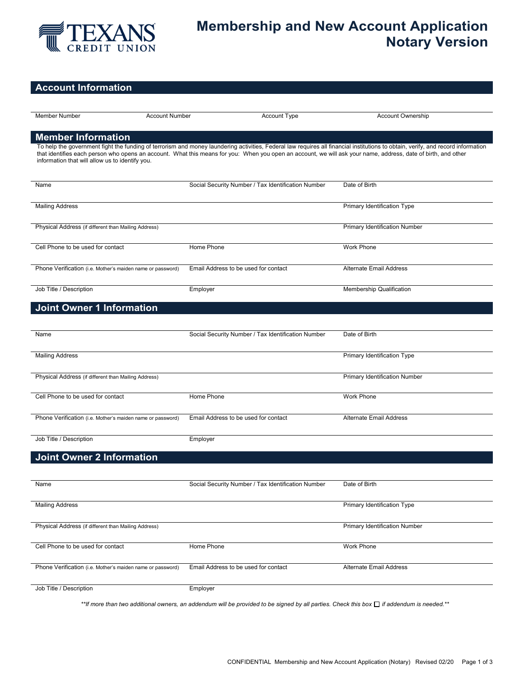

# **Membership and New Account Application Notary Version**

# **Account Information**

| <b>Member Number</b>                                       | <b>Account Number</b> | Account Type                                       | <b>Account Ownership</b>                                                                                                                                                                                                                                                                                                                          |
|------------------------------------------------------------|-----------------------|----------------------------------------------------|---------------------------------------------------------------------------------------------------------------------------------------------------------------------------------------------------------------------------------------------------------------------------------------------------------------------------------------------------|
|                                                            |                       |                                                    |                                                                                                                                                                                                                                                                                                                                                   |
| <b>Member Information</b>                                  |                       |                                                    |                                                                                                                                                                                                                                                                                                                                                   |
| information that will allow us to identify you.            |                       |                                                    | To help the government fight the funding of terrorism and money laundering activities, Federal law requires all financial institutions to obtain, verify, and record information<br>that identifies each person who opens an account. What this means for you: When you open an account, we will ask your name, address, date of birth, and other |
| Name                                                       |                       | Social Security Number / Tax Identification Number | Date of Birth                                                                                                                                                                                                                                                                                                                                     |
| <b>Mailing Address</b>                                     |                       |                                                    | Primary Identification Type                                                                                                                                                                                                                                                                                                                       |
| Physical Address (if different than Mailing Address)       |                       |                                                    | Primary Identification Number                                                                                                                                                                                                                                                                                                                     |
| Cell Phone to be used for contact                          | Home Phone            |                                                    | Work Phone                                                                                                                                                                                                                                                                                                                                        |
| Phone Verification (i.e. Mother's maiden name or password) |                       | Email Address to be used for contact               | <b>Alternate Email Address</b>                                                                                                                                                                                                                                                                                                                    |
| Job Title / Description                                    | Employer              |                                                    | Membership Qualification                                                                                                                                                                                                                                                                                                                          |
| <b>Joint Owner 1 Information</b>                           |                       |                                                    |                                                                                                                                                                                                                                                                                                                                                   |
| Name                                                       |                       | Social Security Number / Tax Identification Number | Date of Birth                                                                                                                                                                                                                                                                                                                                     |
| <b>Mailing Address</b>                                     |                       |                                                    | Primary Identification Type                                                                                                                                                                                                                                                                                                                       |
| Physical Address (if different than Mailing Address)       |                       |                                                    | Primary Identification Number                                                                                                                                                                                                                                                                                                                     |
| Cell Phone to be used for contact                          | Home Phone            |                                                    | Work Phone                                                                                                                                                                                                                                                                                                                                        |
| Phone Verification (i.e. Mother's maiden name or password) |                       | Email Address to be used for contact               | Alternate Email Address                                                                                                                                                                                                                                                                                                                           |
| Job Title / Description                                    | Employer              |                                                    |                                                                                                                                                                                                                                                                                                                                                   |
| <b>Joint Owner 2 Information</b>                           |                       |                                                    |                                                                                                                                                                                                                                                                                                                                                   |
| Name                                                       |                       | Social Security Number / Tax Identification Number | Date of Birth                                                                                                                                                                                                                                                                                                                                     |
| <b>Mailing Address</b>                                     |                       |                                                    | Primary Identification Type                                                                                                                                                                                                                                                                                                                       |
| Physical Address (if different than Mailing Address)       |                       |                                                    | Primary Identification Number                                                                                                                                                                                                                                                                                                                     |
| Cell Phone to be used for contact                          | Home Phone            |                                                    | Work Phone                                                                                                                                                                                                                                                                                                                                        |
| Phone Verification (i.e. Mother's maiden name or password) |                       | Email Address to be used for contact               | Alternate Email Address                                                                                                                                                                                                                                                                                                                           |
| Job Title / Description                                    | Employer              |                                                    |                                                                                                                                                                                                                                                                                                                                                   |

*\*\*If more than two additional owners, an addendum will be provided to be signed by all parties. Check this box if addendum is needed.\*\**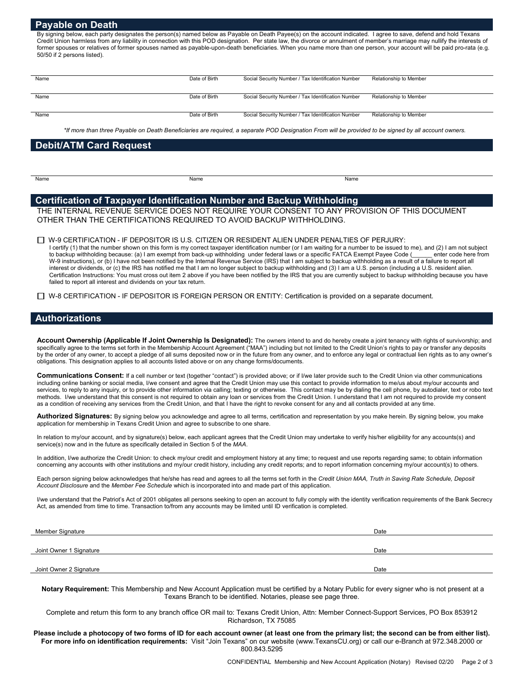# **Payable on Death**

By signing below, each party designates the person(s) named below as Payable on Death Payee(s) on the account indicated. I agree to save, defend and hold Texans Credit Union harmless from any liability in connection with this POD designation. Per state law, the divorce or annulment of member's marriage may nullify the interests of former spouses or relatives of former spouses named as payable-upon-death beneficiaries. When you name more than one person, your account will be paid pro-rata (e.g. 50/50 if 2 persons listed).

| Name | Date of Birth | Social Security Number / Tax Identification Number | Relationship to Member |
|------|---------------|----------------------------------------------------|------------------------|
| Name | Date of Birth | Social Security Number / Tax Identification Number | Relationship to Member |
| Name | Date of Birth | Social Security Number / Tax Identification Number | Relationship to Member |

*\*If more than three Payable on Death Beneficiaries are required, a separate POD Designation From will be provided to be signed by all account owners.*

# **Debit/ATM Card Request**

| $\sim$<br>$\sim$ |
|------------------|
|------------------|

Name Name Name

# **Certification of Taxpayer Identification Number and Backup Withholding**

THE INTERNAL REVENUE SERVICE DOES NOT REQUIRE YOUR CONSENT TO ANY PROVISION OF THIS DOCUMENT OTHER THAN THE CERTIFICATIONS REQUIRED TO AVOID BACKUP WITHHOLDING.

W-9 CERTIFICATION - IF DEPOSITOR IS U.S. CITIZEN OR RESIDENT ALIEN UNDER PENALTIES OF PERJURY:

I certify (1) that the number shown on this form is my correct taxpayer identification number (or I am waiting for a number to be issued to me), and (2) I am not subject to backup withholding because: (a) I am exempt from back-up withholding under federal laws or a specific FATCA Exempt Payee Code (\_\_\_\_\_\_ enter code here from W-9 instructions), or (b) I have not been notified by the Internal Revenue Service (IRS) that I am subject to backup withholding as a result of a failure to report all interest or dividends, or (c) the IRS has notified me that I am no longer subject to backup withholding and (3) I am a U.S. person (including a U.S. resident alien. Certification Instructions: You must cross out item 2 above if you have been notified by the IRS that you are currently subject to backup withholding because you have failed to report all interest and dividends on your tax return.

□ W-8 CERTIFICATION - IF DEPOSITOR IS FOREIGN PERSON OR ENTITY: Certification is provided on a separate document.

## **Authorizations**

**Account Ownership (Applicable If Joint Ownership Is Designated):** The owners intend to and do hereby create a joint tenancy with rights of survivorship; and specifically agree to the terms set forth in the Membership Account Agreement ("MAA") including but not limited to the Credit Union's rights to pay or transfer any deposits by the order of any owner, to accept a pledge of all sums deposited now or in the future from any owner, and to enforce any legal or contractual lien rights as to any owner's obligations. This designation applies to all accounts listed above or on any change forms/documents.

Communications Consent: If a cell number or text (together "contact") is provided above; or if I/we later provide such to the Credit Union via other communications including online banking or social media, I/we consent and agree that the Credit Union may use this contact to provide information to me/us about my/our accounts and services, to reply to any inquiry, or to provide other information via calling; texting or otherwise. This contact may be by dialing the cell phone, by autodialer, text or robo text methods. I/we understand that this consent is not required to obtain any loan or services from the Credit Union. I understand that I am not required to provide my consent as a condition of receiving any services from the Credit Union, and that I have the right to revoke consent for any and all contacts provided at any time.

**Authorized Signatures:** By signing below you acknowledge and agree to all terms, certification and representation by you make herein. By signing below, you make application for membership in Texans Credit Union and agree to subscribe to one share.

In relation to my/our account, and by signature(s) below, each applicant agrees that the Credit Union may undertake to verify his/her eligibility for any accounts(s) and service(s) now and in the future as specifically detailed in Section 5 of the *MAA*.

In addition, I/we authorize the Credit Union: to check my/our credit and employment history at any time; to request and use reports regarding same; to obtain information concerning any accounts with other institutions and my/our credit history, including any credit reports; and to report information concerning my/our account(s) to others.

Each person signing below acknowledges that he/she has read and agrees to all the terms set forth in the *Credit Union MAA, Truth in Saving Rate Schedule, Deposit Account Disclosure* and the *Member Fee Schedule* which is incorporated into and made part of this application.

I/we understand that the Patriot's Act of 2001 obligates all persons seeking to open an account to fully comply with the identity verification requirements of the Bank Secrecy Act, as amended from time to time. Transaction to/from any accounts may be limited until ID verification is completed.

| Member Signature        | Date |
|-------------------------|------|
|                         |      |
| Joint Owner 1 Signature | Date |
|                         |      |
| Joint Owner 2 Signature | Date |

**Notary Requirement:** This Membership and New Account Application must be certified by a Notary Public for every signer who is not present at a Texans Branch to be identified. Notaries, please see page three.

Complete and return this form to any branch office OR mail to: Texans Credit Union, Attn: Member Connect-Support Services, PO Box 853912 Richardson, TX 75085

**Please include a photocopy of two forms of ID for each account owner (at least one from the primary list; the second can be from either list). For more info on identification requirements:** Visit "Join Texans" on our website (www.TexansCU.org) or call our e-Branch at 972.348.2000 or 800.843.5295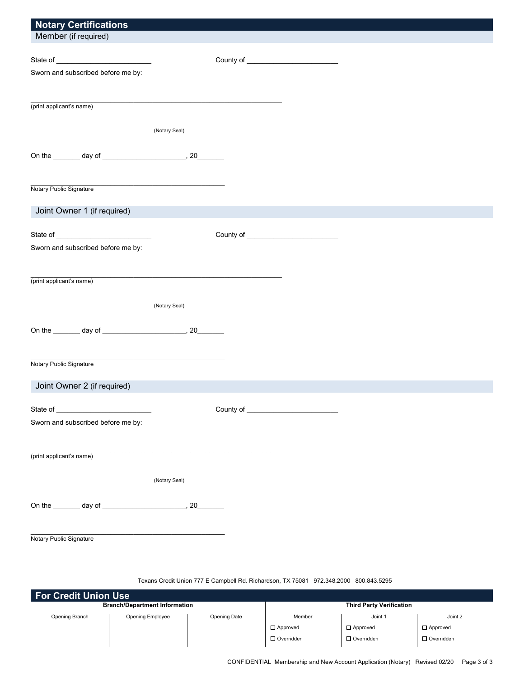| <b>Notary Certifications</b>       |               |  |
|------------------------------------|---------------|--|
| Member (if required)               |               |  |
|                                    |               |  |
|                                    |               |  |
| Sworn and subscribed before me by: |               |  |
|                                    |               |  |
| (print applicant's name)           |               |  |
|                                    |               |  |
|                                    | (Notary Seal) |  |
|                                    |               |  |
|                                    |               |  |
|                                    |               |  |
|                                    |               |  |
| Notary Public Signature            |               |  |
| Joint Owner 1 (if required)        |               |  |
|                                    |               |  |
|                                    |               |  |
| Sworn and subscribed before me by: |               |  |
|                                    |               |  |
|                                    |               |  |
| (print applicant's name)           |               |  |
|                                    | (Notary Seal) |  |
|                                    |               |  |
|                                    |               |  |
|                                    |               |  |
|                                    |               |  |
| Notary Public Signature            |               |  |
|                                    |               |  |
| Joint Owner 2 (if required)        |               |  |
| State of                           |               |  |
| Sworn and subscribed before me by: |               |  |
|                                    |               |  |
|                                    |               |  |
| (print applicant's name)           |               |  |
|                                    |               |  |
|                                    | (Notary Seal) |  |
|                                    |               |  |
|                                    |               |  |
|                                    |               |  |
| Notary Public Signature            |               |  |
|                                    |               |  |

# Texans Credit Union 777 E Campbell Rd. Richardson, TX 75081 972.348.2000 800.843.5295

| <b>For Credit Union Use</b>          |                  |              |                                 |                   |                   |  |  |
|--------------------------------------|------------------|--------------|---------------------------------|-------------------|-------------------|--|--|
| <b>Branch/Department Information</b> |                  |              | <b>Third Party Verification</b> |                   |                   |  |  |
| Opening Branch                       | Opening Employee | Opening Date | Member                          | Joint 1           | Joint 2           |  |  |
|                                      |                  |              | $\Box$ Approved                 | $\Box$ Approved   | $\Box$ Approved   |  |  |
|                                      |                  |              | $\Box$ Overridden               | $\Box$ Overridden | $\Box$ Overridden |  |  |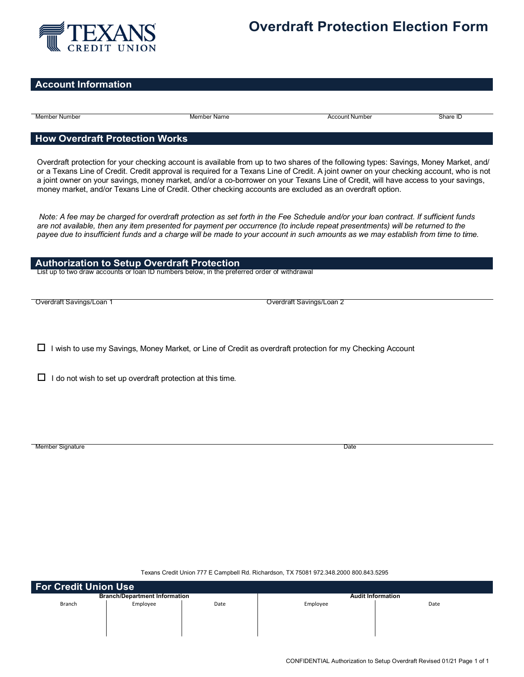

# **Overdraft Protection Election Form**

# **Account Information**

Member Number Member Name Account Number Share ID

# **How Overdraft Protection Works**

Overdraft protection for your checking account is available from up to two shares of the following types: Savings, Money Market, and/ or a Texans Line of Credit. Credit approval is required for a Texans Line of Credit. A joint owner on your checking account, who is not a joint owner on your savings, money market, and/or a co-borrower on your Texans Line of Credit, will have access to your savings, money market, and/or Texans Line of Credit. Other checking accounts are excluded as an overdraft option.

*Note: A fee may be charged for overdraft protection as set forth in the Fee Schedule and/or your loan contract. If sufficient funds* are not available, then any item presented for payment per occurrence (to include repeat presentments) will be returned to the *payee due to insufficient funds and a charge will be made to your account in such amounts as we may establish from time to time.*

# **Authorization to Setup Overdraft Protection**

List up to two draw accounts or loan ID numbers below, in the preferred order of withdrawal

Overdraft Savings/Loan 2

 $\Box$  I wish to use my Savings, Money Market, or Line of Credit as overdraft protection for my Checking Account

 $\Box$  I do not wish to set up overdraft protection at this time.

Member Signature Date Control of the United States of the United States of the United States of the United States of the United States of the United States of the United States of the United States of the United States of

Texans Credit Union 777 E Campbell Rd. Richardson, TX 75081 972.348.2000 800.843.5295

| For Credit Union Use                 |          |      |                          |      |  |
|--------------------------------------|----------|------|--------------------------|------|--|
| <b>Branch/Department Information</b> |          |      | <b>Audit Information</b> |      |  |
| Branch                               | Employee | Date | Employee                 | Date |  |
|                                      |          |      |                          |      |  |
|                                      |          |      |                          |      |  |
|                                      |          |      |                          |      |  |
|                                      |          |      |                          |      |  |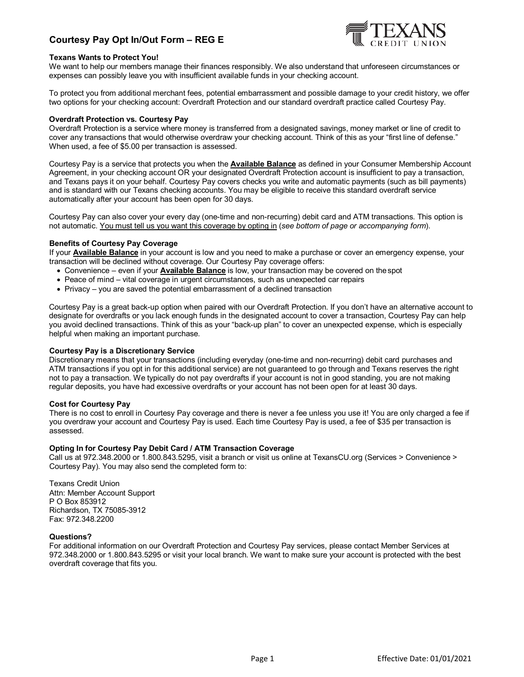# **Courtesy Pay Opt In/Out Form – REG E**



## **Texans Wants to Protect You!**

We want to help our members manage their finances responsibly. We also understand that unforeseen circumstances or expenses can possibly leave you with insufficient available funds in your checking account.

To protect you from additional merchant fees, potential embarrassment and possible damage to your credit history, we offer two options for your checking account: Overdraft Protection and our standard overdraft practice called Courtesy Pay.

#### **Overdraft Protection vs. Courtesy Pay**

Overdraft Protection is a service where money is transferred from a designated savings, money market or line of credit to cover any transactions that would otherwise overdraw your checking account. Think of this as your "first line of defense." When used, a fee of \$5.00 per transaction is assessed.

Courtesy Pay is a service that protects you when the **Available Balance** as defined in your Consumer Membership Account Agreement, in your checking account OR your designated Overdraft Protection account is insufficient to pay a transaction, and Texans pays it on your behalf. Courtesy Pay covers checks you write and automatic payments (such as bill payments) and is standard with our Texans checking accounts. You may be eligible to receive this standard overdraft service automatically after your account has been open for 30 days.

Courtesy Pay can also cover your every day (one-time and non-recurring) debit card and ATM transactions. This option is not automatic. You must tell us you want this coverage by opting in (*see bottom of page or accompanying form*).

#### **Benefits of Courtesy Pay Coverage**

If your **Available Balance** in your account is low and you need to make a purchase or cover an emergency expense, your transaction will be declined without coverage. Our Courtesy Pay coverage offers:

- Convenience even if your **Available Balance** is low, your transaction may be covered on thespot
- Peace of mind vital coverage in urgent circumstances, such as unexpected car repairs
- Privacy you are saved the potential embarrassment of a declined transaction

Courtesy Pay is a great back-up option when paired with our Overdraft Protection. If you don't have an alternative account to designate for overdrafts or you lack enough funds in the designated account to cover a transaction, Courtesy Pay can help you avoid declined transactions. Think of this as your "back-up plan" to cover an unexpected expense, which is especially helpful when making an important purchase.

## **Courtesy Pay is a Discretionary Service**

Discretionary means that your transactions (including everyday (one-time and non-recurring) debit card purchases and ATM transactions if you opt in for this additional service) are not guaranteed to go through and Texans reserves the right not to pay a transaction. We typically do not pay overdrafts if your account is not in good standing, you are not making regular deposits, you have had excessive overdrafts or your account has not been open for at least 30 days.

## **Cost for Courtesy Pay**

There is no cost to enroll in Courtesy Pay coverage and there is never a fee unless you use it! You are only charged a fee if you overdraw your account and Courtesy Pay is used. Each time Courtesy Pay is used, a fee of \$35 per transaction is assessed.

#### **Opting In for Courtesy Pay Debit Card / ATM Transaction Coverage**

Call us at 972.348.2000 or 1.800.843.5295, visit a branch or visit us online at TexansCU.org (Services > Convenience > Courtesy Pay). You may also send the completed form to:

Texans Credit Union Attn: Member Account Support P O Box 853912 Richardson, TX 75085-3912 Fax: 972.348.2200

#### **Questions?**

For additional information on our Overdraft Protection and Courtesy Pay services, please contact Member Services at 972.348.2000 or 1.800.843.5295 or visit your local branch. We want to make sure your account is protected with the best overdraft coverage that fits you.